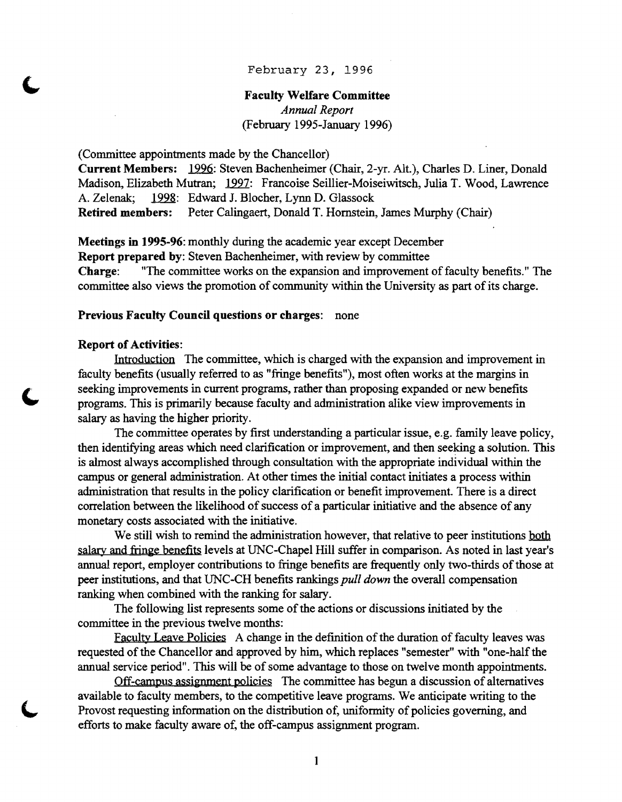### February 23, 1996

# Faculty Welfare Committee *Annual Report*  (February 1995-January 1996)

(Committee appointments made by the Chancellor)

Current Members: 1996: Steven Bachenheimer (Chair, 2-yr. Alt.), Charles D. Liner, Donald Madison, Elizabeth Mutran; 1997: Francoise Seillier-Moiseiwitsch, Julia T. Wood, Lawrence A. Zelenak; 1998: Edward J. Blocher, Lynn D. Glassock Retired members: Peter Calingaert, Donald T. Hornstein, James Murphy (Chair)

Meetings in 1995-96: monthly during the academic year except December Report prepared by: Steven Bachenheimer, with review by committee Charge: "The committee works on the expansion and improvement of faculty benefits." The committee also views the promotion of community within the University as part of its charge.

### Previous Faculty Council questions or charges: none

#### Report of Activities:

Introduction The committee, which is charged with the expansion and improvement in faculty benefits (usually referred to as "fringe benefits"), most often works at the margins in seeking improvements in current programs, rather than proposing expanded or new benefits programs. This is primarily because faculty and administration alike view improvements in salary as having the higher priority.

The committee operates by first understanding a particular issue, e.g. family leave policy, then identifying areas which need clarification or improvement, and then seeking a solution. This is almost always accomplished through consultation with the appropriate individual within the campus or general administration. At other times the initial contact initiates a process within administration that results in the policy clarification or benefit improvement. There is a direct correlation between the likelihood of success of a particular initiative and the absence of any monetary costs associated with the initiative.

We still wish to remind the administration however, that relative to peer institutions both salary and fringe benefits levels at UNC-Chapel Hill suffer in comparison. As noted in last year's annual report, employer contributions to fringe benefits are frequently only two-thirds of those at peer institutions, and that UNC-CH benefits rankings *pull down* the overall compensation ranking when combined with the ranking for salary.

The following list represents some of the actions or discussions initiated by the committee in the previous twelve months:

Faculty Leave Policies A change in the definition of the duration of faculty leaves was requested of the Chancellor and approved by him, which replaces "semester" with "one-half the annual service period". This will be of some advantage to those on twelve month appointments.

Off-campus assignment policies The committee has begun a discussion of alternatives available to faculty members, to the competitive leave programs. We anticipate writing to the Provost requesting information on the distribution of, uniformity of policies governing, and efforts to make faculty aware of, the off-campus assignment program.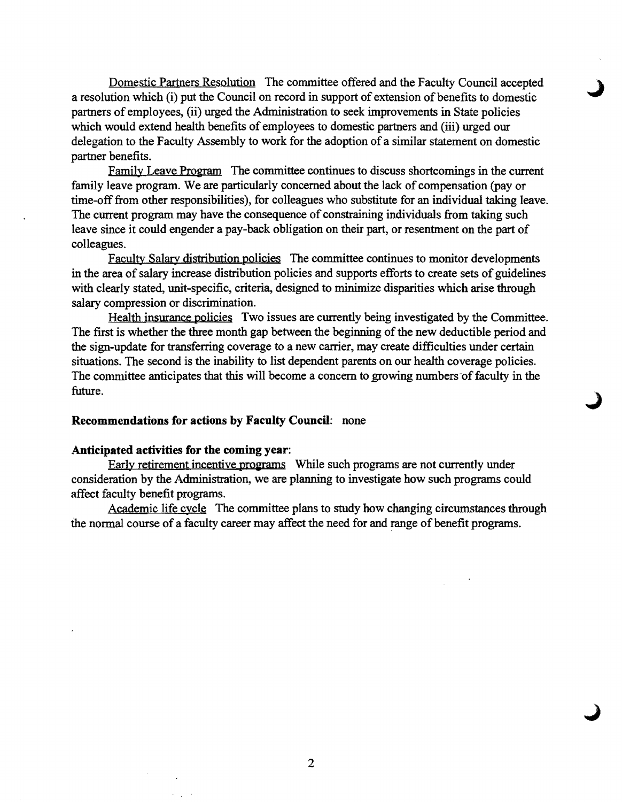Domestic Partners Resolution The committee offered and the Faculty Council accepted a resolution which (i) put the Council on record in support of extension of benefits to domestic partners of employees, (ii) urged the Administration to seek improvements in State policies which would extend health benefits of employees to domestic partners and (iii) urged our delegation to the Faculty Assembly to work for the adoption of a similar statement on domestic partner benefits.

Family Leave Program The committee continues to discuss shortcomings in the current family leave program. We are particularly concerned about the lack of compensation (payor time-off from other responsibilities), for colleagues who substitute for an individual taking leave. The current program may have the consequence of constraining individuals from taking such leave since it could engender a pay-back obligation on their part, or resentment on the part of colleagues.

Faculty Salary distribution policies The committee continues to monitor developments in the area of salary increase distribution policies and supports efforts to create sets of guidelines with clearly stated, unit-specific, criteria, designed to minimize disparities which arise through salary compression or discrimination.

Health insurance policies Two issues are currently being investigated by the Committee. The first is whether the three month gap between the beginning of the new deductible period and the sign-update for transferring coverage to a new carrier, may create difficulties under certain situations. The second is the inability to list dependent parents on our health coverage policies. The committee anticipates that this will become a concern to growing numbers of faculty in the future.

### Recommendations for actions by Faculty Council: none

#### Anticipated activities for the coming year:

Early retirement incentive programs While such programs are not currently under consideration by the Administration, we are planning to investigate how such programs could affect faculty benefit programs.

Academic life cycle The committee plans to study how changing circumstances through the normal course of a faculty career may affect the need for and range of benefit programs.

2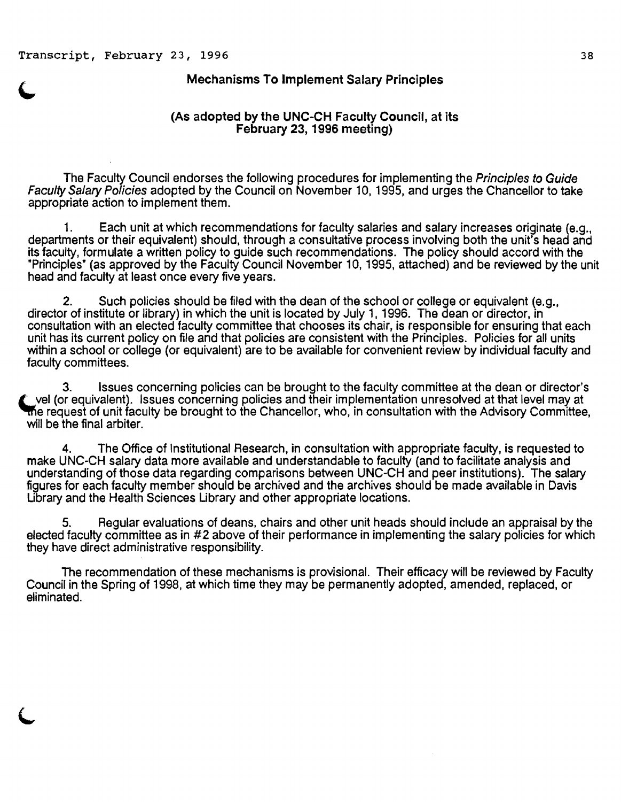### Mechanisms To Implement Salary Principles

## (As adopted by the UNC-CH Faculty Council, at its February 23, 1996 meeting)

The Faculty Council endorses the following procedures for implementing the Principles to Guide Faculty Salary Policies adopted by the Council on November 10, 1995, and urges the Chancellor to take appropriate action to implement them.

1. Each unit at which recommendations for faculty salaries and salary increases originate (e.g., departments or their equivalent) should, through a consultative process involving both the unit's head and its faculty, formulate a written policy to guide such recommendations. The policy should accord with the "Principles" (as approved by the Faculty Council November 10, 1995, attached) and be reviewed by the unit head and faculty at least once every five years.

2. Such policies should be filed with the dean of the school or college or equivalent (e.g., director of institute or library) in which the unit is located by July 1, 1996. The dean or director, in consultation with an elected faculty committee that chooses its chair, is responsible for ensuring that each unit has its current policy on file and that policies are consistent with the Principles. Policies for all units within a school or college (or equivalent) are to be available for convenient review by individual faculty and faculty committees.

3. Issues concerning policies can be brought to the faculty committee at the dean or director's  $t$  vel (or equivalent). Issues concerning policies and their implementation unresolved at that level may at the request of unit faculty be brought to the Chancellor, who, in consultation with the Advisory Committee, will be the final arbiter.

4. The Office of Institutional Research, in consultation with appropriate faculty, is requested to make UNC-CH salary data more available and understandable to faculty (and to facilitate analysis and understanding of those data regarding comparisons between UNC-CH and peer institutions). The salary figures for each faculty member should be archived and the archives should be made available in Davis Ubrary and the Health Sciences Ubrary and other appropriate locations.

5. Regular evaluations of deans, chairs and other unit heads should include an appraisal by the elected faculty committee as in #2 above of their performance in implementing the salary policies for which they have direct administrative responsibility.

The recommendation of these mechanisms is provisional. Their efficacy will be reviewed by Faculty Council in the Spring of 1998, at which time they may be permanently adopted, amended, replaced, or eliminated.